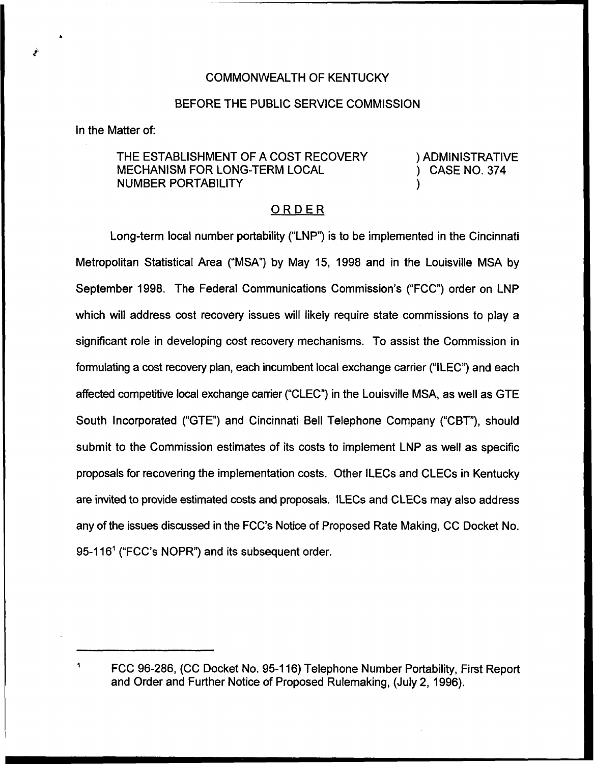## COMMONWEALTH OF KENTUCKY

#### BEFORE THE PUBLIC SERVICE COMMISSION

In the Matter of:

# THE ESTABLISHMENT OF A COST RECOVERY MECHANISM FOR LONG-TERM LOCAL NUMBER PORTABILITY

) ADMINISTRATIVE ) CASE NO. 374

)

## ORDER

Long-term local number portability ("LNP") is to be implemented in the Cincinnati Metropolitan Statistical Area ("MSA") by May 15, 1998 and in the Louisville MSA by September 1998. The Federal Communications Commission's ("FCC") order on LNP which will address cost recovery issues will likely require state commissions to play a significant role in developing cost recovery mechanisms. To assist the Commission in formulating a cost recovery plan, each incumbent local exchange carrier ("ILEC") and each affected competitive local exchange carrier ("CLEC") in the Louisville MSA, as well as GTE South Incorporated ("GTE") and Cincinnati Bell Telephone Company ("CBT"), should submit to the Commission estimates of its costs to implement LNP as well as specific proposals for recovering the implementation costs. Other ILECs and CLECs in Kentucky are invited to provide estimated costs and proposals. ILECs and CLECs may also address any of the issues discussed in the FCC's Notice of Proposed Rate Making, CC Docket No. 95-116"("FCC's NOPR") and its subsequent order.

FCC 96-286, (CC Docket No. 95-116) Telephone Number Portability, First Report and Order and Further Notice of Proposed Rulemaking, (July 2, 1996).